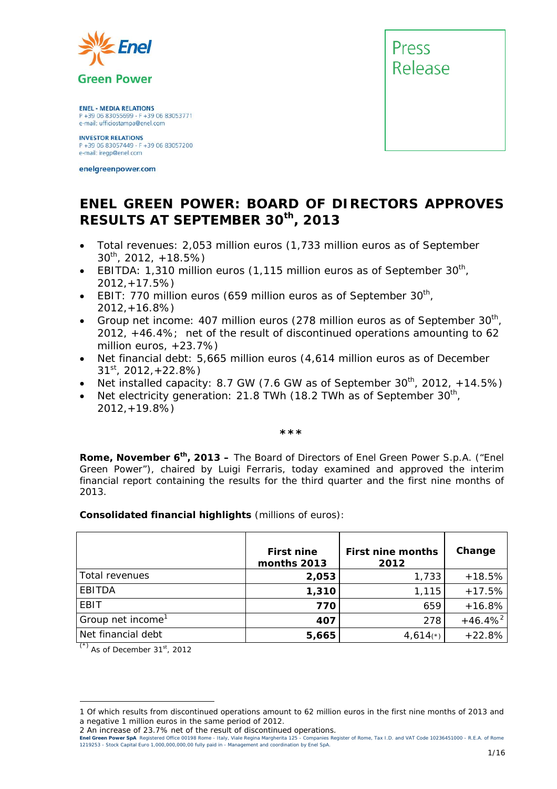

**ENEL - MEDIA RELATIONS** P +39 06 83055699 - F +39 06 83053771 e-mail: ufficiostampa@enel.com

**INVESTOR RELATIONS**<br>P +39 06 83057449 - F +39 06 83057200 e-mail: iregp@enel.com

enelgreenpower.com



## **ENEL GREEN POWER: BOARD OF DIRECTORS APPROVES RESULTS AT SEPTEMBER 30th, 2013**

- *Total revenues: 2,053 million euros (1,733 million euros as of September 30th, 2012, +18.5%)*
- *EBITDA: 1,310 million euros (1,115 million euros as of September 30th, 2012,+17.5%)*
- EBIT: 770 million euros (659 million euros as of September 30<sup>th</sup>, *2012,+16.8%)*
- *Group net income: 407 million euros (278 million euros as of September 30th, 2012, +46.4%; net of the result of discontinued operations amounting to 62 million euros, +23.7%)*
- *Net financial debt: 5,665 million euros (4,614 million euros as of December 31st, 2012,+22.8%)*
- *Net installed capacity: 8.7 GW (7.6 GW as of September 30<sup>th</sup>, 2012, +14.5%)*
- *Net electricity generation: 21.8 TWh (18.2 TWh as of September 30<sup>th</sup>, 2012,+19.8%)*

*\*\*\** 

**Rome, November 6th, 2013 –** The Board of Directors of Enel Green Power S.p.A. ("Enel Green Power"), chaired by Luigi Ferraris, today examined and approved the interim financial report containing the results for the third quarter and the first nine months of 2013.

**Consolidated financial highlights** (millions of euros):

|                               | <b>First nine</b><br>months 2013 | <b>First nine months</b><br>2012 | Change       |
|-------------------------------|----------------------------------|----------------------------------|--------------|
| Total revenues                | 2,053                            | 1,733                            | $+18.5%$     |
| EBITDA                        | 1,310                            | 1,115                            | $+17.5%$     |
| <b>EBIT</b>                   | 770                              | 659                              | $+16.8%$     |
| Group net income <sup>1</sup> | 407                              | 278                              | $+46.4%^{2}$ |
| Net financial debt            | 5,665                            | $4,614(*)$                       | $+22.8%$     |

 $\overline{(\overline{z})}$  As of December 31<sup>st</sup>, 2012

l

**Enel Green Power SpA** Registered Office 00198 Rome - Italy, Viale Regina Margherita 125 - Companies Register of Rome, Tax I.D. and VAT Code 10236451000 - R.E.A. of Rome<br>1219253 - Stock Capital Euro 1,000,000,000,00 fully <u>1/16</u> and 1/16 and 1/16 and 1/16 and 1/16 and 1/16 and 1/16 and 1/16 and 1/16 and 1/16 and 1/16 and 1/16 and 1/16 and 1/16 and 1/16 and 1/16 and 1/16 and 1/16 and 1/16 and 1/16 and 1/16 and 1/16 and 1/16 and 1/16 and 1/16

<sup>1</sup> Of which results from discontinued operations amount to 62 million euros in the first nine months of 2013 and a negative 1 million euros in the same period of 2012.

<sup>2</sup> An increase of 23.7% net of the result of discontinued operations.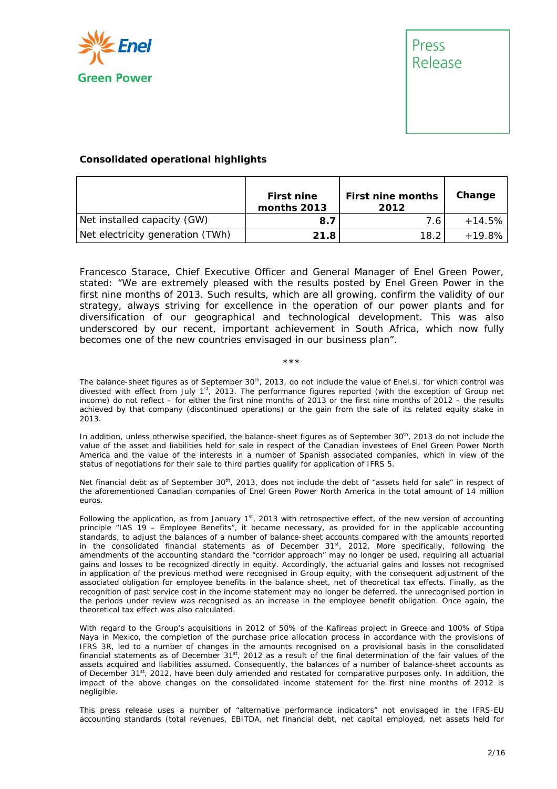



#### **Consolidated operational highlights**

|                                  | <b>First nine</b><br>months 2013 | <b>First nine months</b><br>2012 | Change    |
|----------------------------------|----------------------------------|----------------------------------|-----------|
| Net installed capacity (GW)      | 8.7                              | 7.6                              | $+14.5\%$ |
| Net electricity generation (TWh) | 21.8                             | 18.2                             | $+19.8\%$ |

Francesco Starace, Chief Executive Officer and General Manager of Enel Green Power, stated: "*We are extremely pleased with the results posted by Enel Green Power in the first nine months of 2013. Such results, which are all growing, confirm the validity of our strategy, always striving for excellence in the operation of our power plants and for diversification of our geographical and technological development. This was also underscored by our recent, important achievement in South Africa, which now fully becomes one of the new countries envisaged in our business plan*".

#### \*\*\*

The balance-sheet figures as of September 30<sup>th</sup>, 2013, do not include the value of Enel.si, for which control was divested with effect from July  $1<sup>st</sup>$ , 2013. The performance figures reported (with the exception of Group net income) do not reflect – for either the first nine months of 2013 or the first nine months of 2012 – the results achieved by that company (discontinued operations) or the gain from the sale of its related equity stake in 2013.

In addition, unless otherwise specified, the balance-sheet figures as of September 30<sup>th</sup>, 2013 do not include the value of the asset and liabilities held for sale in respect of the Canadian investees of Enel Green Power North America and the value of the interests in a number of Spanish associated companies, which in view of the status of negotiations for their sale to third parties qualify for application of IFRS 5.

Net financial debt as of September 30<sup>th</sup>, 2013, does not include the debt of "assets held for sale" in respect of the aforementioned Canadian companies of Enel Green Power North America in the total amount of 14 million euros.

Following the application, as from January  $1<sup>st</sup>$ , 2013 with retrospective effect, of the new version of accounting principle "IAS 19 – Employee Benefits", it became necessary, as provided for in the applicable accounting standards, to adjust the balances of a number of balance-sheet accounts compared with the amounts reported in the consolidated financial statements as of December  $31<sup>st</sup>$ , 2012. More specifically, following the amendments of the accounting standard the "corridor approach" may no longer be used, requiring all actuarial gains and losses to be recognized directly in equity. Accordingly, the actuarial gains and losses not recognised in application of the previous method were recognised in Group equity, with the consequent adjustment of the associated obligation for employee benefits in the balance sheet, net of theoretical tax effects. Finally, as the recognition of past service cost in the income statement may no longer be deferred, the unrecognised portion in the periods under review was recognised as an increase in the employee benefit obligation. Once again, the theoretical tax effect was also calculated.

With regard to the Group's acquisitions in 2012 of 50% of the Kafireas project in Greece and 100% of Stipa Naya in Mexico, the completion of the purchase price allocation process in accordance with the provisions of IFRS 3R, led to a number of changes in the amounts recognised on a provisional basis in the consolidated financial statements as of December  $31<sup>st</sup>$ , 2012 as a result of the final determination of the fair values of the assets acquired and liabilities assumed. Consequently, the balances of a number of balance-sheet accounts as of December 31<sup>st</sup>, 2012, have been duly amended and restated for comparative purposes only. In addition, the impact of the above changes on the consolidated income statement for the first nine months of 2012 is negligible.

This press release uses a number of "alternative performance indicators" not envisaged in the IFRS-EU accounting standards (total revenues, EBITDA, net financial debt, net capital employed, net assets held for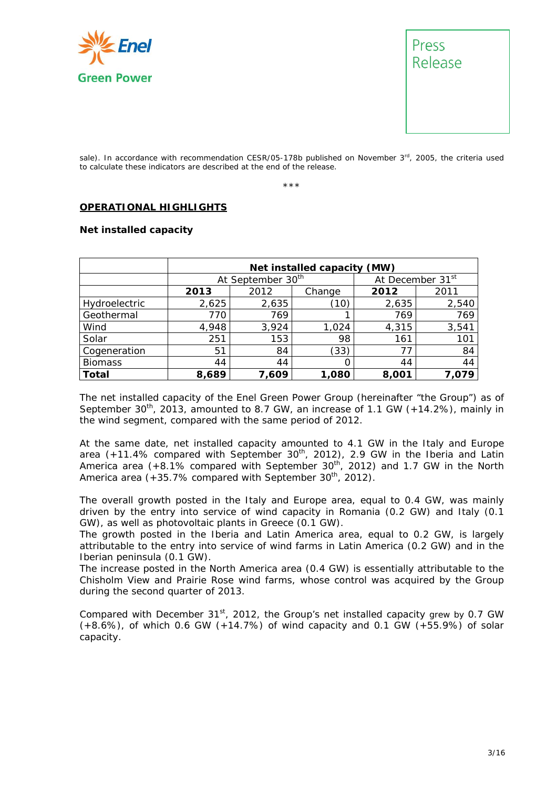



sale). In accordance with recommendation CESR/05-178b published on November  $3<sup>rd</sup>$ , 2005, the criteria used to calculate these indicators are described at the end of the release.

\*\*\*

#### **OPERATIONAL HIGHLIGHTS**

#### **Net installed capacity**

|                | Net installed capacity (MW) |                               |        |                              |       |  |
|----------------|-----------------------------|-------------------------------|--------|------------------------------|-------|--|
|                |                             | At September 30 <sup>th</sup> |        | At December 31 <sup>st</sup> |       |  |
|                | 2013                        | 2012                          | Change | 2012                         | 2011  |  |
| Hydroelectric  | 2,625                       | 2,635                         | (10)   | 2,635                        | 2,540 |  |
| Geothermal     | 770                         | 769                           | 1      | 769                          | 769   |  |
| Wind           | 4,948                       | 3,924                         | 1,024  | 4,315                        | 3,541 |  |
| Solar          | 251                         | 153                           | 98     | 161                          | 101   |  |
| Cogeneration   | 51                          | 84                            | (33)   | 77                           | 84    |  |
| <b>Biomass</b> | 44                          | 44                            | Ω      | 44                           | 44    |  |
| Total          | 8,689                       | 7.609                         | 1,080  | 8,001                        | 7.079 |  |

The net installed capacity of the Enel Green Power Group (hereinafter "the Group") as of September  $30<sup>th</sup>$ , 2013, amounted to 8.7 GW, an increase of 1.1 GW (+14.2%), mainly in the wind segment, compared with the same period of 2012.

At the same date, net installed capacity amounted to 4.1 GW in the Italy and Europe area  $(+11.4\%$  compared with September  $30<sup>th</sup>$ , 2012), 2.9 GW in the Iberia and Latin America area (+8.1% compared with September 30<sup>th</sup>, 2012) and 1.7 GW in the North America area  $(+35.7\%$  compared with September  $30^{th}$ , 2012).

The overall growth posted in the Italy and Europe area, equal to 0.4 GW, was mainly driven by the entry into service of wind capacity in Romania (0.2 GW) and Italy (0.1 GW), as well as photovoltaic plants in Greece (0.1 GW).

The growth posted in the Iberia and Latin America area, equal to 0.2 GW, is largely attributable to the entry into service of wind farms in Latin America (0.2 GW) and in the Iberian peninsula (0.1 GW).

The increase posted in the North America area (0.4 GW) is essentially attributable to the Chisholm View and Prairie Rose wind farms, whose control was acquired by the Group during the second quarter of 2013.

Compared with December  $31<sup>st</sup>$ , 2012, the Group's net installed capacity grew by 0.7 GW (+8.6%), of which 0.6 GW (+14.7%) of wind capacity and 0.1 GW (+55.9%) of solar capacity.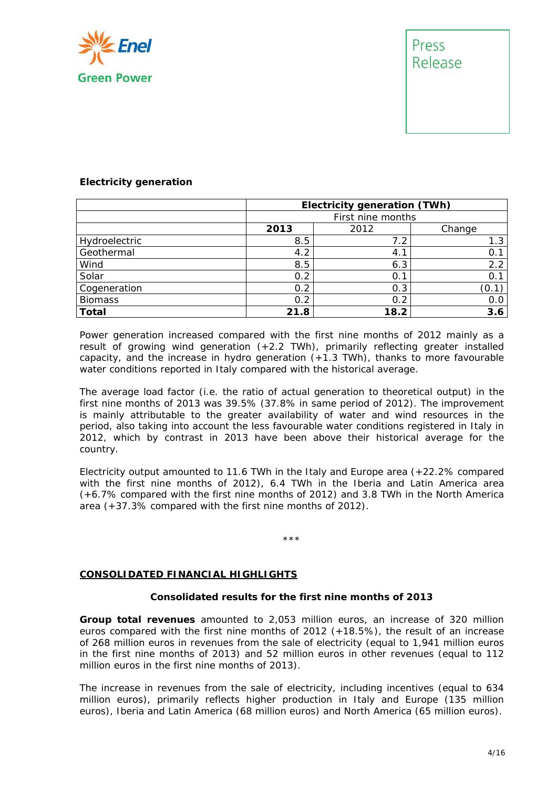

# Press Release

#### **Electricity generation**

|                | Electricity generation (TWh) |      |        |  |  |
|----------------|------------------------------|------|--------|--|--|
|                | First nine months            |      |        |  |  |
|                | 2013                         | 2012 | Change |  |  |
| Hydroelectric  | 8.5                          | 7.2  | 1.3    |  |  |
| Geothermal     | 4.2                          | 4.1  | 0.1    |  |  |
| Wind           | 8.5                          | 6.3  | 2.2    |  |  |
| Solar          | 0.2                          | 0.1  | 0.1    |  |  |
| Cogeneration   | 0.2                          | 0.3  | 0.1    |  |  |
| <b>Biomass</b> | 0.2                          | 0.2  | 0.0    |  |  |
| <b>Total</b>   | 21.8                         | 18.2 | 3.6    |  |  |

Power generation increased compared with the first nine months of 2012 mainly as a result of growing wind generation  $(+2.2 \text{ TWh})$ , primarily reflecting greater installed capacity, and the increase in hydro generation (+1.3 TWh), thanks to more favourable water conditions reported in Italy compared with the historical average.

The average load factor (i.e. the ratio of actual generation to theoretical output) in the first nine months of 2013 was 39.5% (37.8% in same period of 2012). The improvement is mainly attributable to the greater availability of water and wind resources in the period, also taking into account the less favourable water conditions registered in Italy in 2012, which by contrast in 2013 have been above their historical average for the country.

Electricity output amounted to 11.6 TWh in the Italy and Europe area (+22.2% compared with the first nine months of 2012), 6.4 TWh in the Iberia and Latin America area (+6.7% compared with the first nine months of 2012) and 3.8 TWh in the North America area (+37.3% compared with the first nine months of 2012).

#### \*\*\*

#### **CONSOLIDATED FINANCIAL HIGHLIGHTS**

#### **Consolidated results for the first nine months of 2013**

**Group total revenues** amounted to 2,053 million euros, an increase of 320 million euros compared with the first nine months of 2012 (+18.5%), the result of an increase of 268 million euros in revenues from the sale of electricity (equal to 1,941 million euros in the first nine months of 2013) and 52 million euros in other revenues (equal to 112 million euros in the first nine months of 2013).

The increase in revenues from the sale of electricity, including incentives (equal to 634 million euros), primarily reflects higher production in Italy and Europe (135 million euros), Iberia and Latin America (68 million euros) and North America (65 million euros).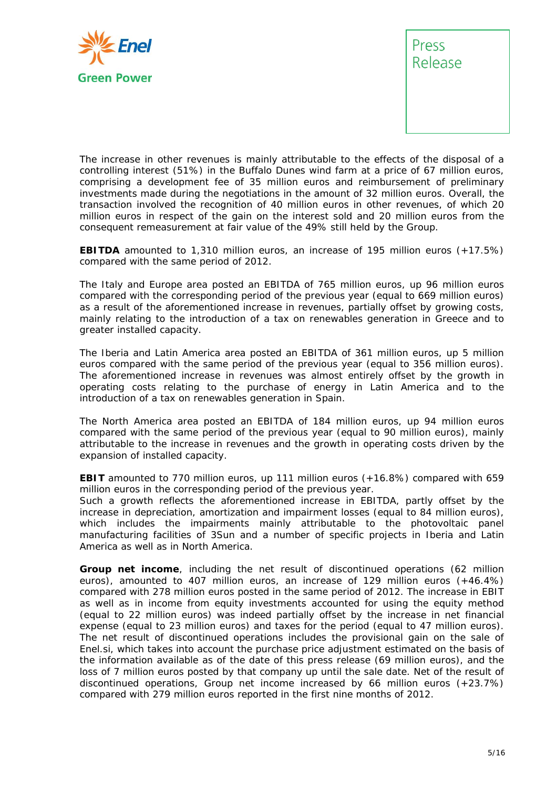



The increase in other revenues is mainly attributable to the effects of the disposal of a controlling interest (51%) in the Buffalo Dunes wind farm at a price of 67 million euros, comprising a development fee of 35 million euros and reimbursement of preliminary investments made during the negotiations in the amount of 32 million euros. Overall, the transaction involved the recognition of 40 million euros in other revenues, of which 20 million euros in respect of the gain on the interest sold and 20 million euros from the consequent remeasurement at fair value of the 49% still held by the Group.

**EBITDA** amounted to 1,310 million euros, an increase of 195 million euros (+17.5%) compared with the same period of 2012.

The Italy and Europe area posted an EBITDA of 765 million euros, up 96 million euros compared with the corresponding period of the previous year (equal to 669 million euros) as a result of the aforementioned increase in revenues, partially offset by growing costs, mainly relating to the introduction of a tax on renewables generation in Greece and to greater installed capacity.

The Iberia and Latin America area posted an EBITDA of 361 million euros, up 5 million euros compared with the same period of the previous year (equal to 356 million euros). The aforementioned increase in revenues was almost entirely offset by the growth in operating costs relating to the purchase of energy in Latin America and to the introduction of a tax on renewables generation in Spain.

The North America area posted an EBITDA of 184 million euros, up 94 million euros compared with the same period of the previous year (equal to 90 million euros), mainly attributable to the increase in revenues and the growth in operating costs driven by the expansion of installed capacity.

**EBIT** amounted to 770 million euros, up 111 million euros (+16.8%) compared with 659 million euros in the corresponding period of the previous year.

Such a growth reflects the aforementioned increase in EBITDA, partly offset by the increase in depreciation, amortization and impairment losses (equal to 84 million euros), which includes the impairments mainly attributable to the photovoltaic panel manufacturing facilities of 3Sun and a number of specific projects in Iberia and Latin America as well as in North America.

**Group net income**, including the net result of discontinued operations (62 million euros), amounted to 407 million euros, an increase of 129 million euros (+46.4%) compared with 278 million euros posted in the same period of 2012. The increase in EBIT as well as in income from equity investments accounted for using the equity method (equal to 22 million euros) was indeed partially offset by the increase in net financial expense (equal to 23 million euros) and taxes for the period (equal to 47 million euros). The net result of discontinued operations includes the provisional gain on the sale of Enel.si, which takes into account the purchase price adjustment estimated on the basis of the information available as of the date of this press release (69 million euros), and the loss of 7 million euros posted by that company up until the sale date. Net of the result of discontinued operations, Group net income increased by 66 million euros (+23.7%) compared with 279 million euros reported in the first nine months of 2012.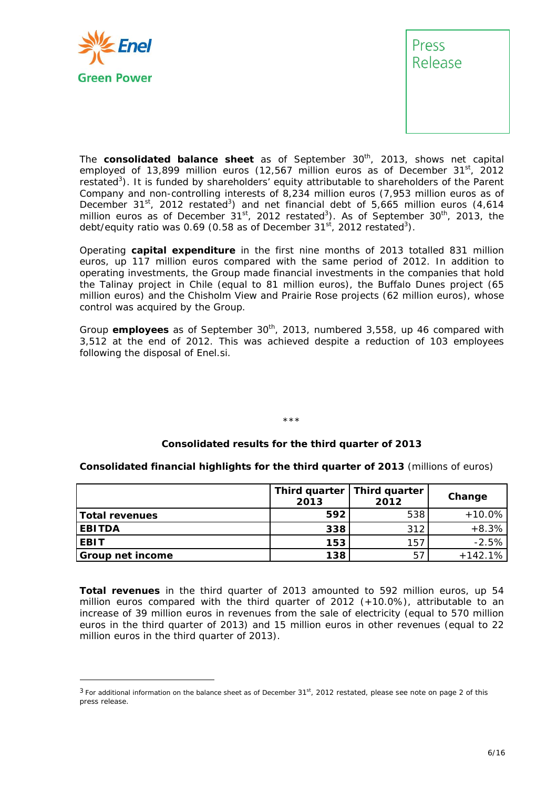

l



The **consolidated balance sheet** as of September 30<sup>th</sup>, 2013, shows net capital employed of 13,899 million euros (12,567 million euros as of December  $31<sup>st</sup>$ , 2012 restated<sup>3</sup>). It is funded by shareholders' equity attributable to shareholders of the Parent Company and non-controlling interests of 8,234 million euros (7,953 million euros as of December 31 $^{\rm st}$ , 2012 restated<sup>3</sup>) and net financial debt of 5,665 million euros (4,614 million euros as of December  $31<sup>st</sup>$ , 2012 restated<sup>3</sup>). As of September  $30<sup>th</sup>$ , 2013, the debt/equity ratio was 0.69 (0.58 as of December 31 $^{\rm st}$ , 2012 restated<sup>3</sup>).

Operating **capital expenditure** in the first nine months of 2013 totalled 831 million euros, up 117 million euros compared with the same period of 2012. In addition to operating investments, the Group made financial investments in the companies that hold the Talinay project in Chile (equal to 81 million euros), the Buffalo Dunes project (65 million euros) and the Chisholm View and Prairie Rose projects (62 million euros), whose control was acquired by the Group.

Group **employees** as of September 30<sup>th</sup>, 2013, numbered 3,558, up 46 compared with 3,512 at the end of 2012. This was achieved despite a reduction of 103 employees following the disposal of Enel.si.

#### \*\*\*

#### **Consolidated results for the third quarter of 2013**

**Consolidated financial highlights for the third quarter of 2013** (millions of euros)

|                       | 2013 | Third quarter   Third quarter<br>2012 | Change    |
|-----------------------|------|---------------------------------------|-----------|
| <b>Total revenues</b> | 592  | 538                                   | $+10.0\%$ |
| <b>EBITDA</b>         | 338  | 312                                   | $+8.3\%$  |
| <b>EBIT</b>           | 153  | 157                                   | $-2.5%$   |
| Group net income      | 138  | 57                                    | $+142.1%$ |

**Total revenues** in the third quarter of 2013 amounted to 592 million euros, up 54 million euros compared with the third quarter of 2012 (+10.0%), attributable to an increase of 39 million euros in revenues from the sale of electricity (equal to 570 million euros in the third quarter of 2013) and 15 million euros in other revenues (equal to 22 million euros in the third quarter of 2013).

 $3$  For additional information on the balance sheet as of December 31st, 2012 restated, please see note on page 2 of this press release.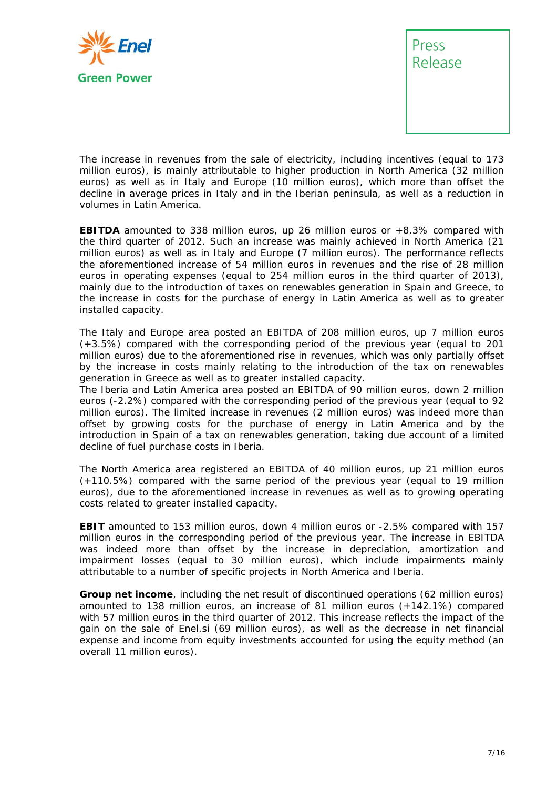



The increase in revenues from the sale of electricity, including incentives (equal to 173 million euros), is mainly attributable to higher production in North America (32 million euros) as well as in Italy and Europe (10 million euros), which more than offset the decline in average prices in Italy and in the Iberian peninsula, as well as a reduction in volumes in Latin America.

**EBITDA** amounted to 338 million euros, up 26 million euros or +8.3% compared with the third quarter of 2012. Such an increase was mainly achieved in North America (21 million euros) as well as in Italy and Europe (7 million euros). The performance reflects the aforementioned increase of 54 million euros in revenues and the rise of 28 million euros in operating expenses (equal to 254 million euros in the third quarter of 2013), mainly due to the introduction of taxes on renewables generation in Spain and Greece, to the increase in costs for the purchase of energy in Latin America as well as to greater installed capacity.

The Italy and Europe area posted an EBITDA of 208 million euros, up 7 million euros (+3.5%) compared with the corresponding period of the previous year (equal to 201 million euros) due to the aforementioned rise in revenues, which was only partially offset by the increase in costs mainly relating to the introduction of the tax on renewables generation in Greece as well as to greater installed capacity.

The Iberia and Latin America area posted an EBITDA of 90 million euros, down 2 million euros (-2.2%) compared with the corresponding period of the previous year (equal to 92 million euros). The limited increase in revenues (2 million euros) was indeed more than offset by growing costs for the purchase of energy in Latin America and by the introduction in Spain of a tax on renewables generation, taking due account of a limited decline of fuel purchase costs in Iberia.

The North America area registered an EBITDA of 40 million euros, up 21 million euros (+110.5%) compared with the same period of the previous year (equal to 19 million euros), due to the aforementioned increase in revenues as well as to growing operating costs related to greater installed capacity.

**EBIT** amounted to 153 million euros, down 4 million euros or -2.5% compared with 157 million euros in the corresponding period of the previous year. The increase in EBITDA was indeed more than offset by the increase in depreciation, amortization and impairment losses (equal to 30 million euros), which include impairments mainly attributable to a number of specific projects in North America and Iberia.

**Group net income**, including the net result of discontinued operations (62 million euros) amounted to 138 million euros, an increase of 81 million euros (+142.1%) compared with 57 million euros in the third quarter of 2012. This increase reflects the impact of the gain on the sale of Enel.si (69 million euros), as well as the decrease in net financial expense and income from equity investments accounted for using the equity method (an overall 11 million euros).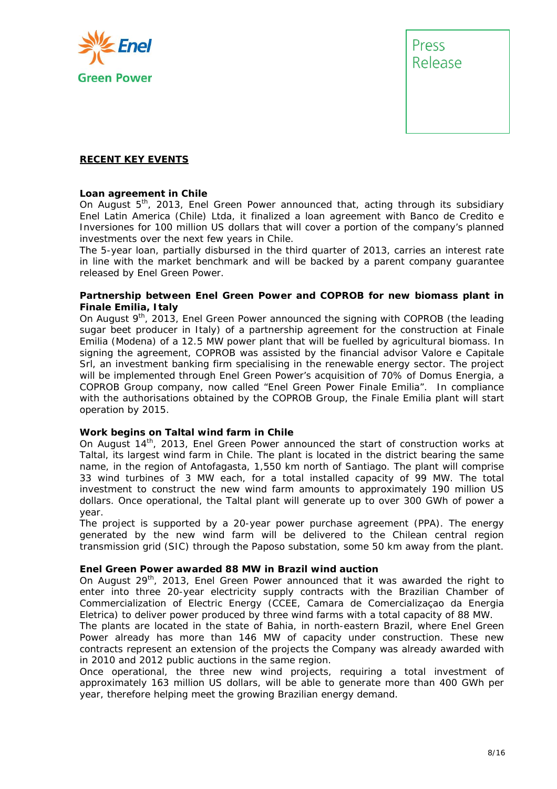



#### **RECENT KEY EVENTS**

#### **Loan agreement in Chile**

On August 5th, 2013, Enel Green Power announced that, acting through its subsidiary Enel Latin America (Chile) Ltda, it finalized a loan agreement with Banco de Credito e Inversiones for 100 million US dollars that will cover a portion of the company's planned investments over the next few years in Chile.

The 5-year loan, partially disbursed in the third quarter of 2013, carries an interest rate in line with the market benchmark and will be backed by a parent company guarantee released by Enel Green Power.

#### **Partnership between Enel Green Power and COPROB for new biomass plant in Finale Emilia, Italy**

On August 9<sup>th</sup>, 2013, Enel Green Power announced the signing with COPROB (the leading sugar beet producer in Italy) of a partnership agreement for the construction at Finale Emilia (Modena) of a 12.5 MW power plant that will be fuelled by agricultural biomass. In signing the agreement, COPROB was assisted by the financial advisor Valore e Capitale Srl, an investment banking firm specialising in the renewable energy sector. The project will be implemented through Enel Green Power's acquisition of 70% of Domus Energia, a COPROB Group company, now called "Enel Green Power Finale Emilia". In compliance with the authorisations obtained by the COPROB Group, the Finale Emilia plant will start operation by 2015.

#### **Work begins on Taltal wind farm in Chile**

On August  $14<sup>th</sup>$ , 2013, Enel Green Power announced the start of construction works at Taltal, its largest wind farm in Chile. The plant is located in the district bearing the same name, in the region of Antofagasta, 1,550 km north of Santiago. The plant will comprise 33 wind turbines of 3 MW each, for a total installed capacity of 99 MW. The total investment to construct the new wind farm amounts to approximately 190 million US dollars. Once operational, the Taltal plant will generate up to over 300 GWh of power a year.

The project is supported by a 20-year power purchase agreement (PPA). The energy generated by the new wind farm will be delivered to the Chilean central region transmission grid (SIC) through the Paposo substation, some 50 km away from the plant.

#### **Enel Green Power awarded 88 MW in Brazil wind auction**

On August 29<sup>th</sup>, 2013, Enel Green Power announced that it was awarded the right to enter into three 20-year electricity supply contracts with the Brazilian Chamber of Commercialization of Electric Energy (CCEE, Camara de Comercializaçao da Energia Eletrica) to deliver power produced by three wind farms with a total capacity of 88 MW.

The plants are located in the state of Bahia, in north-eastern Brazil, where Enel Green Power already has more than 146 MW of capacity under construction. These new contracts represent an extension of the projects the Company was already awarded with in 2010 and 2012 public auctions in the same region.

Once operational, the three new wind projects, requiring a total investment of approximately 163 million US dollars, will be able to generate more than 400 GWh per year, therefore helping meet the growing Brazilian energy demand.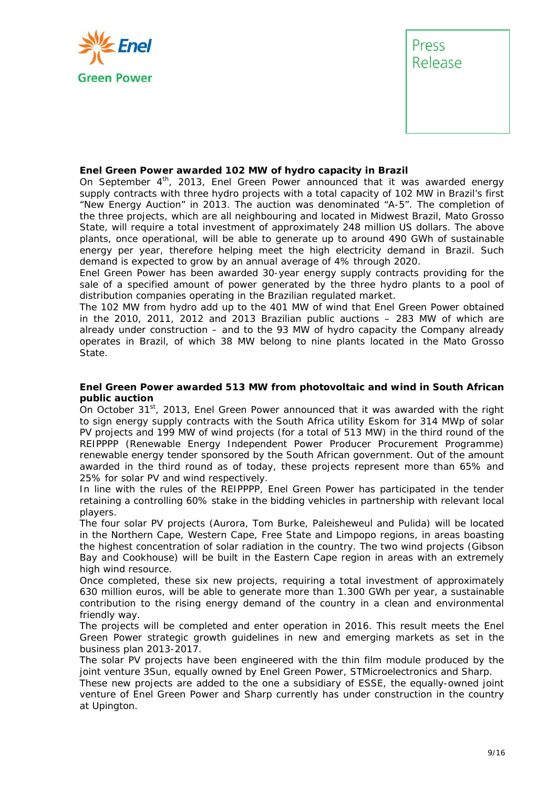



#### **Enel Green Power awarded 102 MW of hydro capacity in Brazil**

On September  $4<sup>th</sup>$ , 2013, Enel Green Power announced that it was awarded energy supply contracts with three hydro projects with a total capacity of 102 MW in Brazil's first "New Energy Auction" in 2013. The auction was denominated "A-5". The completion of the three projects, which are all neighbouring and located in Midwest Brazil, Mato Grosso State, will require a total investment of approximately 248 million US dollars. The above plants, once operational, will be able to generate up to around 490 GWh of sustainable energy per year, therefore helping meet the high electricity demand in Brazil. Such demand is expected to grow by an annual average of 4% through 2020.

Enel Green Power has been awarded 30-year energy supply contracts providing for the sale of a specified amount of power generated by the three hydro plants to a pool of distribution companies operating in the Brazilian regulated market.

The 102 MW from hydro add up to the 401 MW of wind that Enel Green Power obtained in the 2010, 2011, 2012 and 2013 Brazilian public auctions – 283 MW of which are already under construction – and to the 93 MW of hydro capacity the Company already operates in Brazil, of which 38 MW belong to nine plants located in the Mato Grosso State.

#### **Enel Green Power awarded 513 MW from photovoltaic and wind in South African public auction**

On October 31st, 2013, Enel Green Power announced that it was awarded with the right to sign energy supply contracts with the South Africa utility Eskom for 314 MWp of solar PV projects and 199 MW of wind projects (for a total of 513 MW) in the third round of the REIPPPP (Renewable Energy Independent Power Producer Procurement Programme) renewable energy tender sponsored by the South African government. Out of the amount awarded in the third round as of today, these projects represent more than 65% and 25% for solar PV and wind respectively.

In line with the rules of the REIPPPP, Enel Green Power has participated in the tender retaining a controlling 60% stake in the bidding vehicles in partnership with relevant local players.

The four solar PV projects (Aurora, Tom Burke, Paleisheweul and Pulida) will be located in the Northern Cape, Western Cape, Free State and Limpopo regions, in areas boasting the highest concentration of solar radiation in the country. The two wind projects (Gibson Bay and Cookhouse) will be built in the Eastern Cape region in areas with an extremely high wind resource.

Once completed, these six new projects, requiring a total investment of approximately 630 million euros, will be able to generate more than 1.300 GWh per year, a sustainable contribution to the rising energy demand of the country in a clean and environmental friendly way.

The projects will be completed and enter operation in 2016. This result meets the Enel Green Power strategic growth guidelines in new and emerging markets as set in the business plan 2013-2017.

The solar PV projects have been engineered with the thin film module produced by the joint venture 3Sun, equally owned by Enel Green Power, STMicroelectronics and Sharp.

These new projects are added to the one a subsidiary of ESSE, the equally-owned joint venture of Enel Green Power and Sharp currently has under construction in the country at Upington.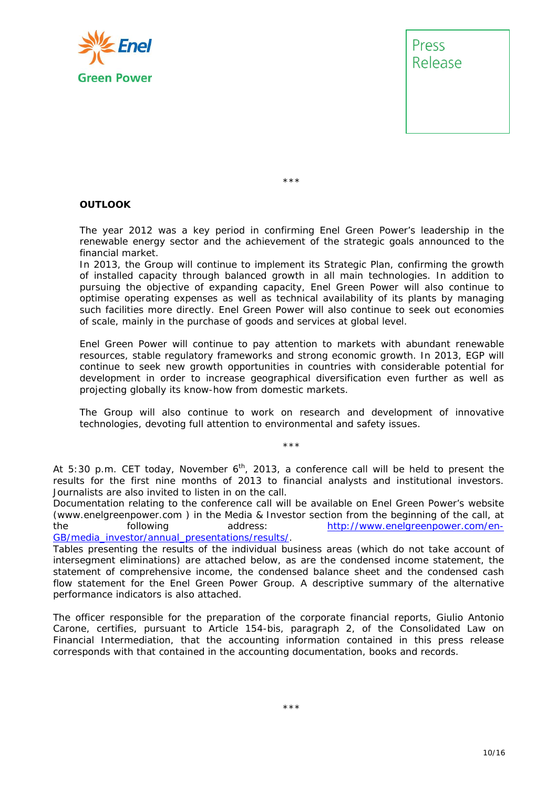



\*\*\*

#### **OUTLOOK**

The year 2012 was a key period in confirming Enel Green Power's leadership in the renewable energy sector and the achievement of the strategic goals announced to the financial market.

In 2013, the Group will continue to implement its Strategic Plan, confirming the growth of installed capacity through balanced growth in all main technologies. In addition to pursuing the objective of expanding capacity, Enel Green Power will also continue to optimise operating expenses as well as technical availability of its plants by managing such facilities more directly. Enel Green Power will also continue to seek out economies of scale, mainly in the purchase of goods and services at global level.

Enel Green Power will continue to pay attention to markets with abundant renewable resources, stable regulatory frameworks and strong economic growth. In 2013, EGP will continue to seek new growth opportunities in countries with considerable potential for development in order to increase geographical diversification even further as well as projecting globally its know-how from domestic markets.

The Group will also continue to work on research and development of innovative technologies, devoting full attention to environmental and safety issues.

\*\*\*

At 5:30 p.m. CET today, November 6<sup>th</sup>, 2013, a conference call will be held to present the *results for the first nine months of 2013 to financial analysts and institutional investors. Journalists are also invited to listen in on the call.* 

*Documentation relating to the conference call will be available on Enel Green Power's website (www.enelgreenpower.com ) in the Media & Investor section from the beginning of the call, at the following address:* http://www.enelgreenpower.com/en-GB/media\_investor/annual\_presentations/results/*.* 

Tables presenting the results of the individual business areas (which do not take account of *intersegment eliminations) are attached below, as are the condensed income statement, the statement of comprehensive income, the condensed balance sheet and the condensed cash flow statement for the Enel Green Power Group. A descriptive summary of the alternative performance indicators is also attached.* 

*The officer responsible for the preparation of the corporate financial reports, Giulio Antonio Carone, certifies, pursuant to Article 154-bis, paragraph 2, of the Consolidated Law on Financial Intermediation, that the accounting information contained in this press release corresponds with that contained in the accounting documentation, books and records.*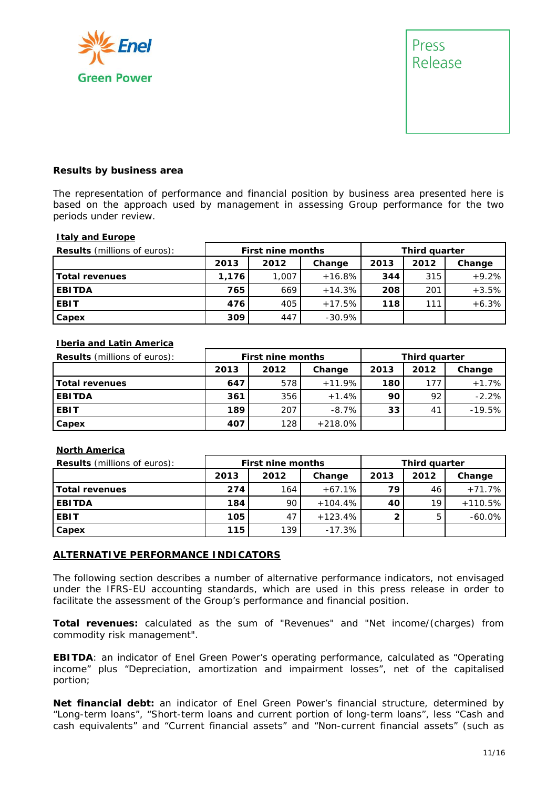



#### **Results by business area**

The representation of performance and financial position by business area presented here is based on the approach used by management in assessing Group performance for the two periods under review.

#### **Italy and Europe**

| <b>Results</b> (millions of euros): | <b>First nine months</b> |                | <b>Third quarter</b> |      |      |         |
|-------------------------------------|--------------------------|----------------|----------------------|------|------|---------|
|                                     | 2013                     | 2012<br>Change |                      | 2013 | 2012 | Change  |
| <b>Total revenues</b>               | 1,176                    | 1,007          | $+16.8%$             | 344  | 315  | $+9.2%$ |
| <b>EBITDA</b>                       | 765                      | 669            | $+14.3%$             | 208  | 201  | $+3.5%$ |
| <b>EBIT</b>                         | 476                      | 405            | $+17.5%$             | 118  | 111  | $+6.3%$ |
| Capex                               | 309                      | 447            | $-30.9%$             |      |      |         |

#### **Iberia and Latin America**

| <b>Results</b> (millions of euros): | <b>First nine months</b> |      |           | Third quarter |      |          |
|-------------------------------------|--------------------------|------|-----------|---------------|------|----------|
|                                     | 2013                     | 2012 | Change    | 2013          | 2012 | Change   |
| <b>Total revenues</b>               | 647                      | 578  | $+11.9%$  | 180           | 177  | $+1.7%$  |
| <b>EBITDA</b>                       | 361                      | 356  | $+1.4%$   | 90            | 92   | $-2.2%$  |
| <b>EBIT</b>                         | 189                      | 207  | $-8.7\%$  | 33            | 41   | $-19.5%$ |
| Capex                               | 407                      | 128  | $+218.0%$ |               |      |          |

#### **North America**

| <b>Results</b> (millions of euros): | <b>First nine months</b> |                |            | <b>Third quarter</b> |    |           |
|-------------------------------------|--------------------------|----------------|------------|----------------------|----|-----------|
|                                     | 2013                     | 2012<br>Change |            | 2013<br>2012         |    | Change    |
| Total revenues                      | 274                      | 164            | $+67.1%$   | 79                   | 46 | $+71.7%$  |
| <b>EBITDA</b>                       | 184                      | 90             | $+104.4\%$ | 40                   | 19 | $+110.5%$ |
| <b>EBIT</b>                         | 105                      | 47             | $+123.4%$  |                      |    | $-60.0\%$ |
| Capex                               | 115                      | 139            | $-17.3%$   |                      |    |           |

#### **ALTERNATIVE PERFORMANCE INDICATORS**

The following section describes a number of alternative performance indicators, not envisaged under the IFRS-EU accounting standards, which are used in this press release in order to facilitate the assessment of the Group's performance and financial position.

**Total revenues:** calculated as the sum of "Revenues" and "Net income/(charges) from commodity risk management".

**EBITDA**: an indicator of Enel Green Power's operating performance, calculated as "Operating income" plus "Depreciation, amortization and impairment losses", net of the capitalised portion;

**Net financial debt:** an indicator of Enel Green Power's financial structure, determined by "Long-term loans", "Short-term loans and current portion of long-term loans", less "Cash and cash equivalents" and "Current financial assets" and "Non-current financial assets" (such as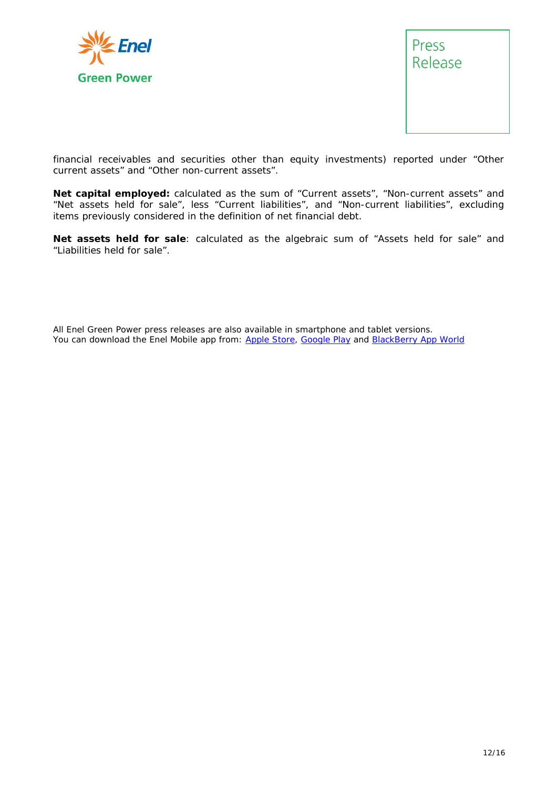



financial receivables and securities other than equity investments) reported under "Other current assets" and "Other non-current assets".

**Net capital employed:** calculated as the sum of "Current assets", "Non-current assets" and "Net assets held for sale", less "Current liabilities", and "Non-current liabilities", excluding items previously considered in the definition of net financial debt.

**Net assets held for sale**: calculated as the algebraic sum of "Assets held for sale" and "Liabilities held for sale".

All Enel Green Power press releases are also available in smartphone and tablet versions. You can download the Enel Mobile app from: Apple Store, Google Play and BlackBerry App World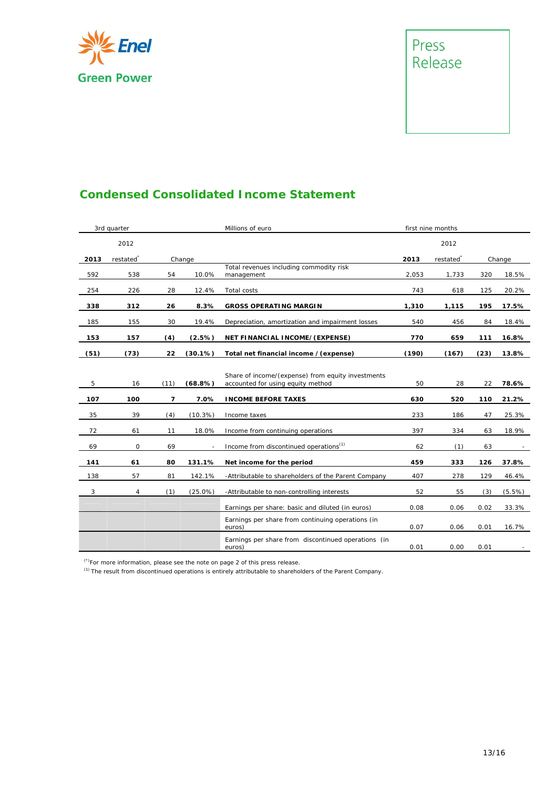



## **Condensed Consolidated Income Statement**

|      | 3rd quarter           |      |            | Millions of euro                                                                       |       | first nine months     |      |        |
|------|-----------------------|------|------------|----------------------------------------------------------------------------------------|-------|-----------------------|------|--------|
|      | 2012                  |      |            |                                                                                        |       | 2012                  |      |        |
| 2013 | restated <sup>®</sup> |      | Change     |                                                                                        | 2013  | restated <sup>®</sup> |      | Change |
| 592  | 538                   | 54   | 10.0%      | Total revenues including commodity risk<br>management                                  | 2,053 | 1,733                 | 320  | 18.5%  |
| 254  | 226                   | 28   | 12.4%      | Total costs                                                                            | 743   | 618                   | 125  | 20.2%  |
| 338  | 312                   | 26   | 8.3%       | <b>GROSS OPERATING MARGIN</b>                                                          | 1,310 | 1,115                 | 195  | 17.5%  |
| 185  | 155                   | 30   | 19.4%      | Depreciation, amortization and impairment losses                                       | 540   | 456                   | 84   | 18.4%  |
| 153  | 157                   | (4)  | (2.5%)     | NET FINANCIAL INCOME/(EXPENSE)                                                         | 770   | 659                   | 111  | 16.8%  |
| (51) | (73)                  | 22   | $(30.1\%)$ | Total net financial income / (expense)                                                 | (190) | (167)                 | (23) | 13.8%  |
| 5    | 16                    | (11) | (68.8%)    | Share of income/(expense) from equity investments<br>accounted for using equity method | 50    | 28                    | 22   | 78.6%  |
| 107  | 100                   | 7    | 7.0%       | <b>INCOME BEFORE TAXES</b>                                                             | 630   | 520                   | 110  | 21.2%  |
| 35   | 39                    | (4)  | (10.3%)    | Income taxes                                                                           | 233   | 186                   | 47   | 25.3%  |
| 72   | 61                    | 11   | 18.0%      | Income from continuing operations                                                      | 397   | 334                   | 63   | 18.9%  |
| 69   | 0                     | 69   |            | Income from <i>discontinued operations</i> <sup>(1)</sup>                              | 62    | (1)                   | 63   |        |
| 141  | 61                    | 80   | 131.1%     | Net income for the period                                                              | 459   | 333                   | 126  | 37.8%  |
| 138  | 57                    | 81   | 142.1%     | -Attributable to shareholders of the Parent Company                                    | 407   | 278                   | 129  | 46.4%  |
| 3    | 4                     | (1)  | $(25.0\%)$ | -Attributable to non-controlling interests                                             | 52    | 55                    | (3)  | (5.5%) |
|      |                       |      |            | Earnings per share: basic and diluted (in euros)                                       | 0.08  | 0.06                  | 0.02 | 33.3%  |
|      |                       |      |            | Earnings per share from continuing operations (in<br>euros)                            | 0.07  | 0.06                  | 0.01 | 16.7%  |
|      |                       |      |            | Earnings per share from discontinued operations (in<br>euros)                          | 0.01  | 0.00                  | 0.01 |        |

(\*)For more information, please see the note on page 2 of this press release.

(1) The result from discontinued operations is entirely attributable to shareholders of the Parent Company.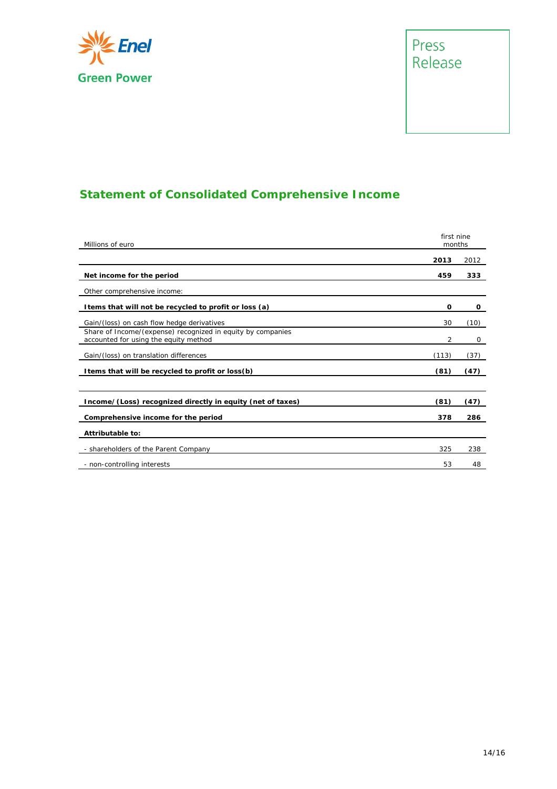

## Press Release

## **Statement of Consolidated Comprehensive Income**

| Millions of euro                                                                                     |       |      |  |
|------------------------------------------------------------------------------------------------------|-------|------|--|
|                                                                                                      | 2013  | 2012 |  |
| Net income for the period                                                                            | 459   | 333  |  |
| Other comprehensive income:                                                                          |       |      |  |
| I tems that will not be recycled to profit or loss (a)                                               | O     | 0    |  |
| Gain/(loss) on cash flow hedge derivatives                                                           | 30    | (10) |  |
| Share of Income/(expense) recognized in equity by companies<br>accounted for using the equity method | 2     | 0    |  |
| Gain/(loss) on translation differences                                                               | (113) | (37) |  |
| I tems that will be recycled to profit or loss(b)                                                    | (81)  | (47) |  |
|                                                                                                      |       |      |  |
| Income/(Loss) recognized directly in equity (net of taxes)                                           | (81)  | (47) |  |
| Comprehensive income for the period                                                                  | 378   | 286  |  |
| Attributable to:                                                                                     |       |      |  |
| - shareholders of the Parent Company                                                                 | 325   | 238  |  |
| - non-controlling interests                                                                          | 53    | 48   |  |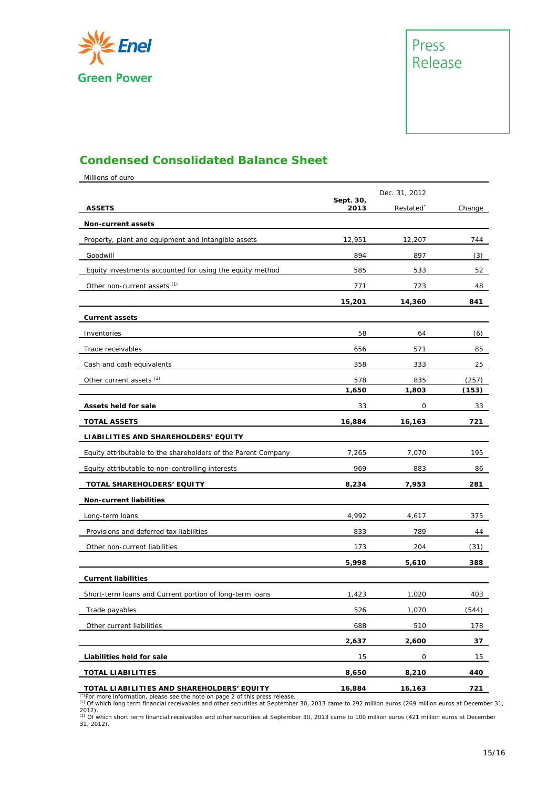



### **Condensed Consolidated Balance Sheet**

Millions of euro

|                                                               |                   | Dec. 31, 2012 |        |
|---------------------------------------------------------------|-------------------|---------------|--------|
| <b>ASSETS</b>                                                 | Sept. 30,<br>2013 | Restated      | Change |
| <b>Non-current assets</b>                                     |                   |               |        |
| Property, plant and equipment and intangible assets           | 12,951            | 12,207        | 744    |
| Goodwill                                                      | 894               | 897           | (3)    |
| Equity investments accounted for using the equity method      | 585               | 533           | 52     |
| Other non-current assets (1)                                  | 771               | 723           | 48     |
|                                                               | 15,201            | 14,360        | 841    |
| <b>Current assets</b>                                         |                   |               |        |
| Inventories                                                   | 58                | 64            | (6)    |
| Trade receivables                                             | 656               | 571           | 85     |
| Cash and cash equivalents                                     | 358               | 333           | 25     |
| Other current assets <sup>(2)</sup>                           | 578               | 835           | (257)  |
|                                                               | 1,650             | 1,803         | (153)  |
| Assets held for sale                                          | 33                | 0             | 33     |
| <b>TOTAL ASSETS</b>                                           | 16,884            | 16,163        | 721    |
| LIABILITIES AND SHAREHOLDERS' EQUITY                          |                   |               |        |
| Equity attributable to the shareholders of the Parent Company | 7,265             | 7,070         | 195    |
| Equity attributable to non-controlling interests              | 969               | 883           | 86     |
| TOTAL SHAREHOLDERS' EQUITY                                    | 8,234             | 7,953         | 281    |
| Non-current liabilities                                       |                   |               |        |
| Long-term loans                                               | 4,992             | 4,617         | 375    |
| Provisions and deferred tax liabilities                       | 833               | 789           | 44     |
| Other non-current liabilities                                 | 173               | 204           | (31)   |
|                                                               | 5,998             | 5,610         | 388    |
| <b>Current liabilities</b>                                    |                   |               |        |
| Short-term loans and Current portion of long-term loans       | 1,423             | 1,020         | 403    |
| Trade payables                                                | 526               | 1,070         | (544)  |
| Other current liabilities                                     | 688               | 510           | 178    |
|                                                               | 2,637             | 2,600         | 37     |
| Liabilities held for sale                                     | 15                | 0             | 15     |
| <b>TOTAL LIABILITIES</b>                                      | 8,650             | 8,210         | 440    |
| TOTAL LIABILITIES AND SHAREHOLDERS' EQUITY                    | 16,884            | 16,163        | 721    |

(\*)For more information, please see the note on page 2 of this press release.<br>(1) Of which long term financial receivables and other securities at September 30, 2013 came to 292 million euros (269 million euros at December